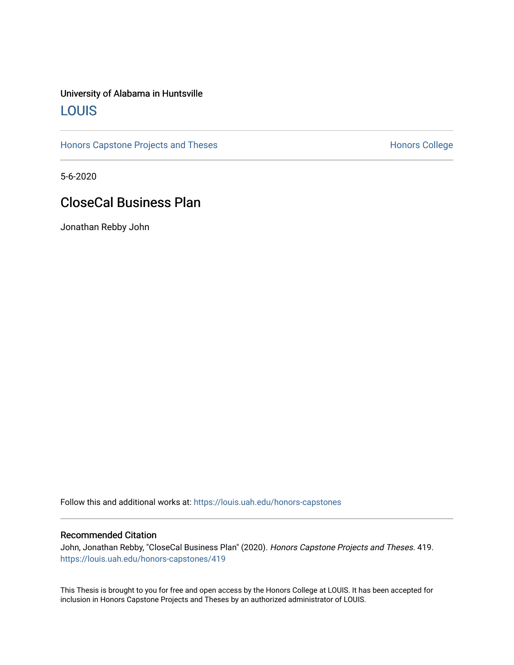#### University of Alabama in Huntsville [LOUIS](https://louis.uah.edu/)

[Honors Capstone Projects and Theses](https://louis.uah.edu/honors-capstones) **Honors College** Honors College

5-6-2020

### CloseCal Business Plan

Jonathan Rebby John

Follow this and additional works at: [https://louis.uah.edu/honors-capstones](https://louis.uah.edu/honors-capstones?utm_source=louis.uah.edu%2Fhonors-capstones%2F419&utm_medium=PDF&utm_campaign=PDFCoverPages) 

#### Recommended Citation

John, Jonathan Rebby, "CloseCal Business Plan" (2020). Honors Capstone Projects and Theses. 419. [https://louis.uah.edu/honors-capstones/419](https://louis.uah.edu/honors-capstones/419?utm_source=louis.uah.edu%2Fhonors-capstones%2F419&utm_medium=PDF&utm_campaign=PDFCoverPages) 

This Thesis is brought to you for free and open access by the Honors College at LOUIS. It has been accepted for inclusion in Honors Capstone Projects and Theses by an authorized administrator of LOUIS.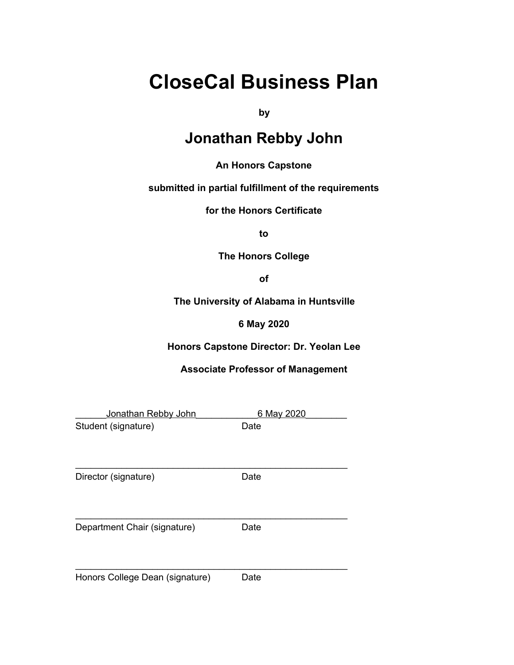# **CloseCal Business Plan**

**by**

### **Jonathan Rebby John**

#### **An Honors Capstone**

#### **submitted in partial fulfillment of the requirements**

**for the Honors Certificate**

**to**

**The Honors College**

**of**

**The University of Alabama in Huntsville**

**6 May 2020**

**Honors Capstone Director: Dr. Yeolan Lee**

#### **Associate Professor of Management**

| Jonathan Rebby John             | 6 May 2020 |
|---------------------------------|------------|
| Student (signature)             | Date       |
|                                 |            |
| Director (signature)            | Date       |
| Department Chair (signature)    | Date       |
| Honors College Dean (signature) | Date       |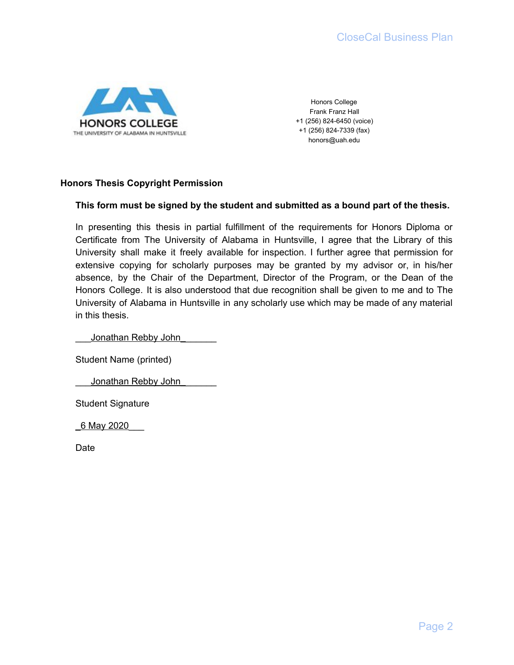

Honors College Frank Franz Hall +1 (256) 824-6450 (voice) +1 (256) 824-7339 (fax) honors@uah.edu

#### **Honors Thesis Copyright Permission**

#### **This form must be signed by the student and submitted as a bound part of the thesis.**

In presenting this thesis in partial fulfillment of the requirements for Honors Diploma or Certificate from The University of Alabama in Huntsville, I agree that the Library of this University shall make it freely available for inspection. I further agree that permission for extensive copying for scholarly purposes may be granted by my advisor or, in his/her absence, by the Chair of the Department, Director of the Program, or the Dean of the Honors College. It is also understood that due recognition shall be given to me and to The University of Alabama in Huntsville in any scholarly use which may be made of any material in this thesis.

Jonathan Rebby John

Student Name (printed)

Jonathan Rebby John

Student Signature

\_6 May 2020\_\_\_

Date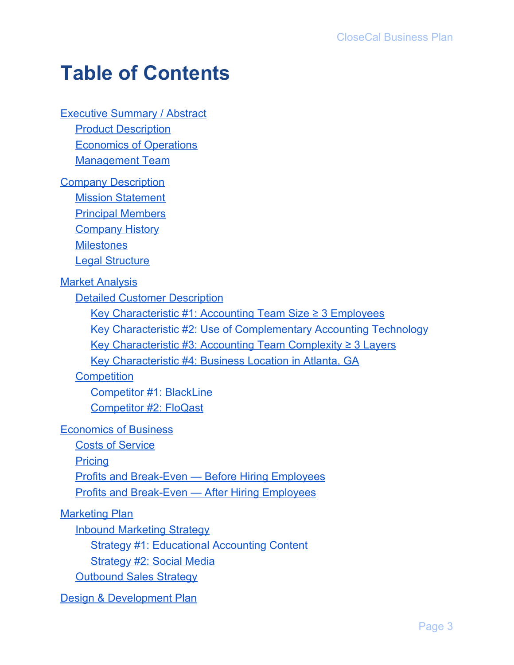# **Table of Contents**

**[Executive](#page-5-0) Summary / Abstract** 

Product [Description](#page-5-1)

Economics of [Operations](#page-6-0)

[Management](#page-6-1) Team

**Company [Description](#page-7-0)** 

Mission [Statement](#page-7-1)

Principal [Members](#page-7-2)

**[Company](#page-7-3) History** 

**[Milestones](#page-7-4)** 

Legal [Structure](#page-8-0)

**Market [Analysis](#page-9-0)** 

Detailed Customer [Description](#page-9-1)

Key [Characteristic](#page-9-2) #1: Accounting Team Size ≥ 3 Employees

Key Characteristic #2: Use of [Complementary](#page-9-3) Accounting Technology

Key [Characteristic](#page-10-0) #3: Accounting Team Complexity ≥ 3 Layers

Key [Characteristic](#page-10-1) #4: Business Location in Atlanta, GA

**[Competition](#page-12-0)** 

[Competitor](#page-12-1) #1: BlackLine [Competitor](#page-13-0) #2: FloQast

[Economics](#page-15-0) of Business

Costs of [Service](#page-15-1)

**[Pricing](#page-15-2)** 

Profits and [Break-Even](#page-16-0) — Before Hiring Employees

Profits and [Break-Even](#page-16-1) — After Hiring Employees

[Marketing](#page-18-0) Plan

Inbound [Marketing](#page-18-1) Strategy

Strategy #1: [Educational](#page-18-2) Accounting Content

[Strategy](#page-18-3) #2: Social Media

[Outbound](#page-19-0) Sales Strategy

Design & [Development](#page-21-0) Plan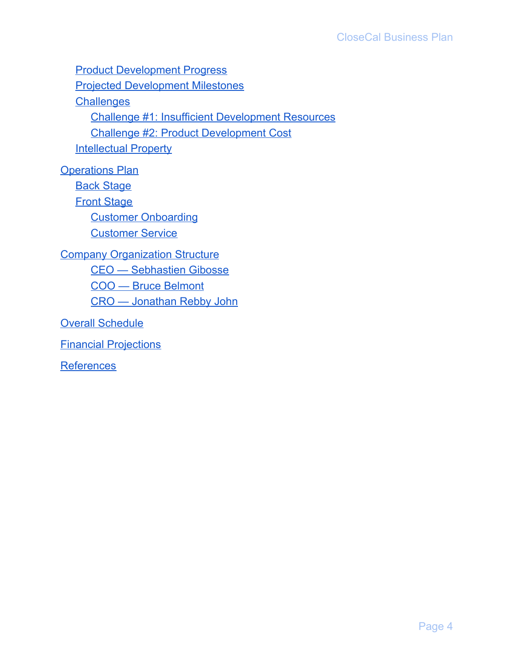Product [Development](#page-21-1) Progress Projected [Development](#page-23-0) Milestones **[Challenges](#page-24-0)** Challenge #1: Insufficient [Development](#page-24-1) Resources Challenge #2: Product [Development](#page-24-2) Cost **[Intellectual](#page-24-3) Property [Operations](#page-25-0) Plan** 

**Back [Stage](#page-25-1) Front [Stage](#page-25-2)** Customer [Onboarding](#page-25-3) [Customer](#page-26-0) Service **Company [Organization](#page-27-0) Structure** CEO — [Sebhastien](#page-27-1) Gibosse COO — Bruce [Belmont](#page-27-2) CRO — [Jonathan](#page-27-3) Rebby John

Overall [Schedule](#page-28-0)

Financial [Projections](#page-29-0)

**[References](#page-31-0)**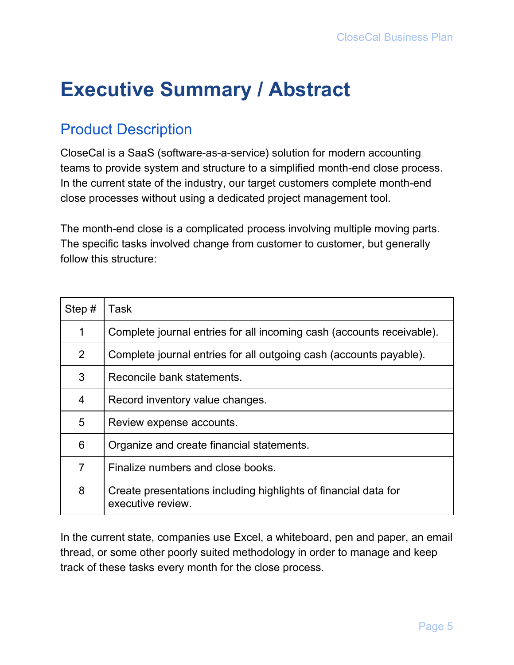# <span id="page-5-0"></span>**Executive Summary / Abstract**

## <span id="page-5-1"></span>Product Description

CloseCal is a SaaS (software-as-a-service) solution for modern accounting teams to provide system and structure to a simplified month-end close process. In the current state of the industry, our target customers complete month-end close processes without using a dedicated project management tool.

The month-end close is a complicated process involving multiple moving parts. The specific tasks involved change from customer to customer, but generally follow this structure:

| Step $#$       | Task                                                                                 |
|----------------|--------------------------------------------------------------------------------------|
| 1              | Complete journal entries for all incoming cash (accounts receivable).                |
| $\overline{2}$ | Complete journal entries for all outgoing cash (accounts payable).                   |
| 3              | Reconcile bank statements.                                                           |
| 4              | Record inventory value changes.                                                      |
| 5              | Review expense accounts.                                                             |
| 6              | Organize and create financial statements.                                            |
| $\overline{7}$ | Finalize numbers and close books.                                                    |
| 8              | Create presentations including highlights of financial data for<br>executive review. |

In the current state, companies use Excel, a whiteboard, pen and paper, an email thread, or some other poorly suited methodology in order to manage and keep track of these tasks every month for the close process.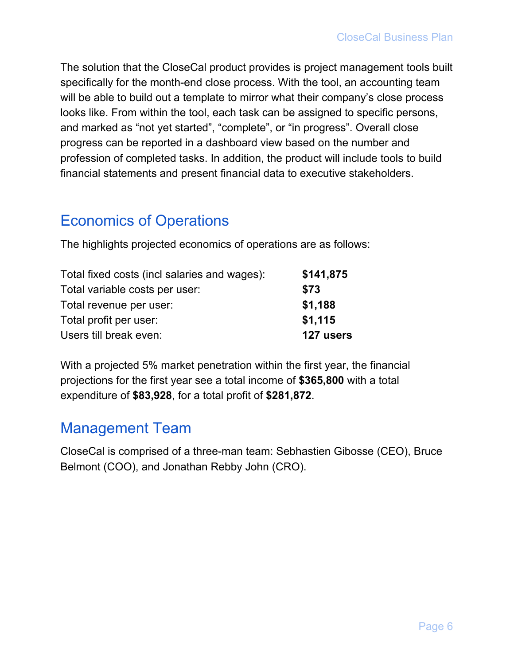The solution that the CloseCal product provides is project management tools built specifically for the month-end close process. With the tool, an accounting team will be able to build out a template to mirror what their company's close process looks like. From within the tool, each task can be assigned to specific persons, and marked as "not yet started", "complete", or "in progress". Overall close progress can be reported in a dashboard view based on the number and profession of completed tasks. In addition, the product will include tools to build financial statements and present financial data to executive stakeholders.

### <span id="page-6-0"></span>Economics of Operations

The highlights projected economics of operations are as follows:

| Total fixed costs (incl salaries and wages): | \$141,875 |
|----------------------------------------------|-----------|
| Total variable costs per user:               | \$73      |
| Total revenue per user:                      | \$1,188   |
| Total profit per user:                       | \$1,115   |
| Users till break even:                       | 127 users |

With a projected 5% market penetration within the first year, the financial projections for the first year see a total income of **\$365,800** with a total expenditure of **\$83,928**, for a total profit of **\$281,872**.

### <span id="page-6-1"></span>Management Team

CloseCal is comprised of a three-man team: Sebhastien Gibosse (CEO), Bruce Belmont (COO), and Jonathan Rebby John (CRO).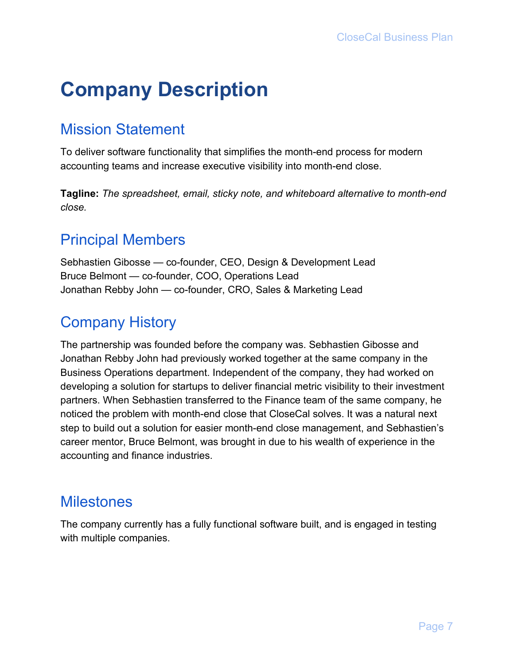# <span id="page-7-0"></span>**Company Description**

## <span id="page-7-1"></span>Mission Statement

To deliver software functionality that simplifies the month-end process for modern accounting teams and increase executive visibility into month-end close.

**Tagline:** *The spreadsheet, email, sticky note, and whiteboard alternative to month-end close.*

## <span id="page-7-2"></span>Principal Members

Sebhastien Gibosse — co-founder, CEO, Design & Development Lead Bruce Belmont — co-founder, COO, Operations Lead Jonathan Rebby John — co-founder, CRO, Sales & Marketing Lead

# <span id="page-7-3"></span>Company History

The partnership was founded before the company was. Sebhastien Gibosse and Jonathan Rebby John had previously worked together at the same company in the Business Operations department. Independent of the company, they had worked on developing a solution for startups to deliver financial metric visibility to their investment partners. When Sebhastien transferred to the Finance team of the same company, he noticed the problem with month-end close that CloseCal solves. It was a natural next step to build out a solution for easier month-end close management, and Sebhastien's career mentor, Bruce Belmont, was brought in due to his wealth of experience in the accounting and finance industries.

### <span id="page-7-4"></span>**Milestones**

The company currently has a fully functional software built, and is engaged in testing with multiple companies.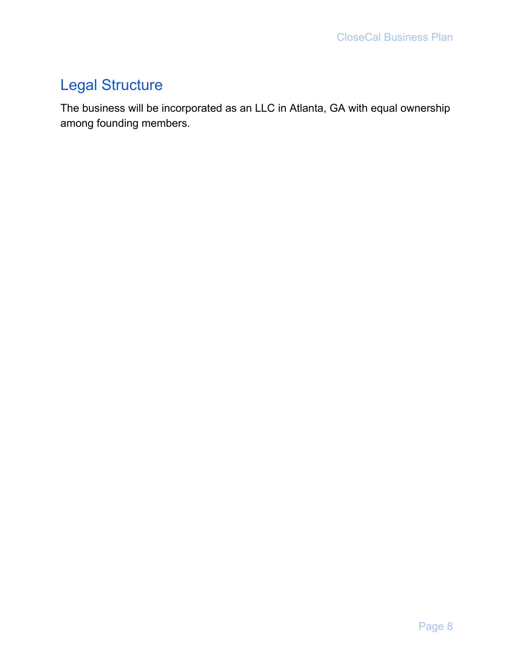# <span id="page-8-0"></span>Legal Structure

The business will be incorporated as an LLC in Atlanta, GA with equal ownership among founding members.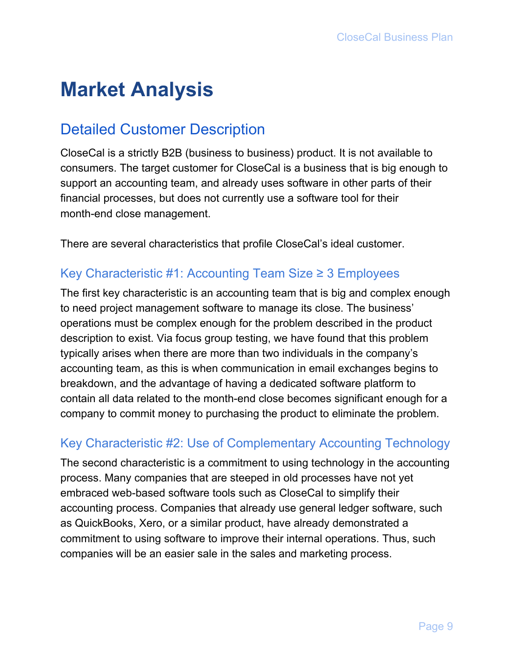# <span id="page-9-0"></span>**Market Analysis**

## <span id="page-9-1"></span>Detailed Customer Description

CloseCal is a strictly B2B (business to business) product. It is not available to consumers. The target customer for CloseCal is a business that is big enough to support an accounting team, and already uses software in other parts of their financial processes, but does not currently use a software tool for their month-end close management.

<span id="page-9-2"></span>There are several characteristics that profile CloseCal's ideal customer.

#### Key Characteristic #1: Accounting Team Size ≥ 3 Employees

The first key characteristic is an accounting team that is big and complex enough to need project management software to manage its close. The business' operations must be complex enough for the problem described in the product description to exist. Via focus group testing, we have found that this problem typically arises when there are more than two individuals in the company's accounting team, as this is when communication in email exchanges begins to breakdown, and the advantage of having a dedicated software platform to contain all data related to the month-end close becomes significant enough for a company to commit money to purchasing the product to eliminate the problem.

#### <span id="page-9-3"></span>Key Characteristic #2: Use of Complementary Accounting Technology

The second characteristic is a commitment to using technology in the accounting process. Many companies that are steeped in old processes have not yet embraced web-based software tools such as CloseCal to simplify their accounting process. Companies that already use general ledger software, such as QuickBooks, Xero, or a similar product, have already demonstrated a commitment to using software to improve their internal operations. Thus, such companies will be an easier sale in the sales and marketing process.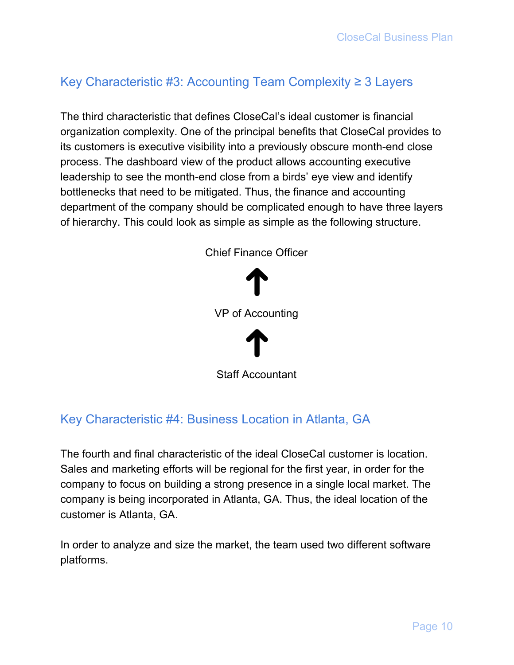### <span id="page-10-0"></span>Key Characteristic #3: Accounting Team Complexity ≥ 3 Layers

The third characteristic that defines CloseCal's ideal customer is financial organization complexity. One of the principal benefits that CloseCal provides to its customers is executive visibility into a previously obscure month-end close process. The dashboard view of the product allows accounting executive leadership to see the month-end close from a birds' eye view and identify bottlenecks that need to be mitigated. Thus, the finance and accounting department of the company should be complicated enough to have three layers of hierarchy. This could look as simple as simple as the following structure.



#### <span id="page-10-1"></span>Key Characteristic #4: Business Location in Atlanta, GA

The fourth and final characteristic of the ideal CloseCal customer is location. Sales and marketing efforts will be regional for the first year, in order for the company to focus on building a strong presence in a single local market. The company is being incorporated in Atlanta, GA. Thus, the ideal location of the customer is Atlanta, GA.

In order to analyze and size the market, the team used two different software platforms.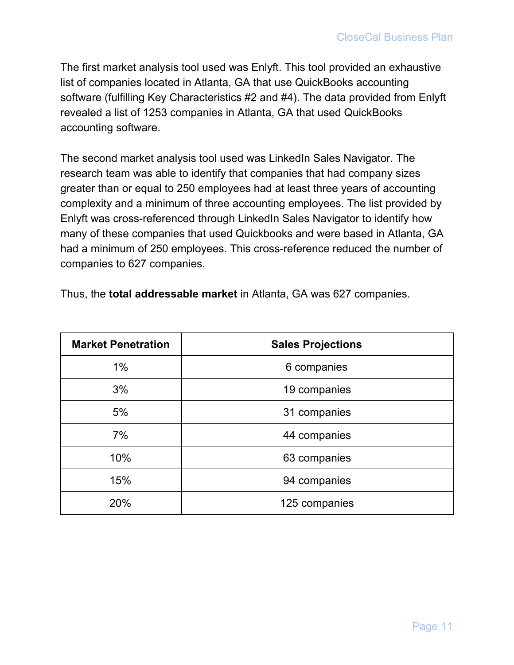The first market analysis tool used was Enlyft. This tool provided an exhaustive list of companies located in Atlanta, GA that use QuickBooks accounting software (fulfilling Key Characteristics #2 and #4). The data provided from Enlyft revealed a list of 1253 companies in Atlanta, GA that used QuickBooks accounting software.

The second market analysis tool used was LinkedIn Sales Navigator. The research team was able to identify that companies that had company sizes greater than or equal to 250 employees had at least three years of accounting complexity and a minimum of three accounting employees. The list provided by Enlyft was cross-referenced through LinkedIn Sales Navigator to identify how many of these companies that used Quickbooks and were based in Atlanta, GA had a minimum of 250 employees. This cross-reference reduced the number of companies to 627 companies.

| <b>Market Penetration</b> | <b>Sales Projections</b> |
|---------------------------|--------------------------|
| 1%                        | 6 companies              |
| 3%                        | 19 companies             |
| 5%                        | 31 companies             |
| 7%                        | 44 companies             |
| 10%                       | 63 companies             |
| 15%                       | 94 companies             |
| 20%                       | 125 companies            |

Thus, the **total addressable market** in Atlanta, GA was 627 companies.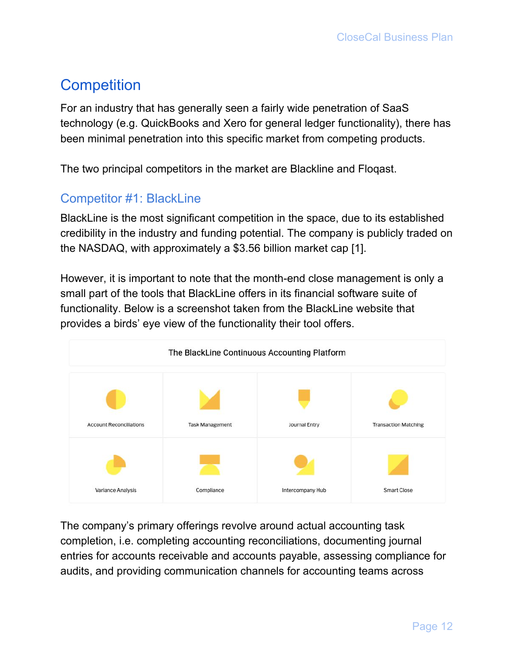# <span id="page-12-0"></span>**Competition**

For an industry that has generally seen a fairly wide penetration of SaaS technology (e.g. QuickBooks and Xero for general ledger functionality), there has been minimal penetration into this specific market from competing products.

<span id="page-12-1"></span>The two principal competitors in the market are Blackline and Floqast.

#### Competitor #1: BlackLine

BlackLine is the most significant competition in the space, due to its established credibility in the industry and funding potential. The company is publicly traded on the NASDAQ, with approximately a \$3.56 billion market cap [1].

However, it is important to note that the month-end close management is only a small part of the tools that BlackLine offers in its financial software suite of functionality. Below is a screenshot taken from the BlackLine website that provides a birds' eye view of the functionality their tool offers.



The company's primary offerings revolve around actual accounting task completion, i.e. completing accounting reconciliations, documenting journal entries for accounts receivable and accounts payable, assessing compliance for audits, and providing communication channels for accounting teams across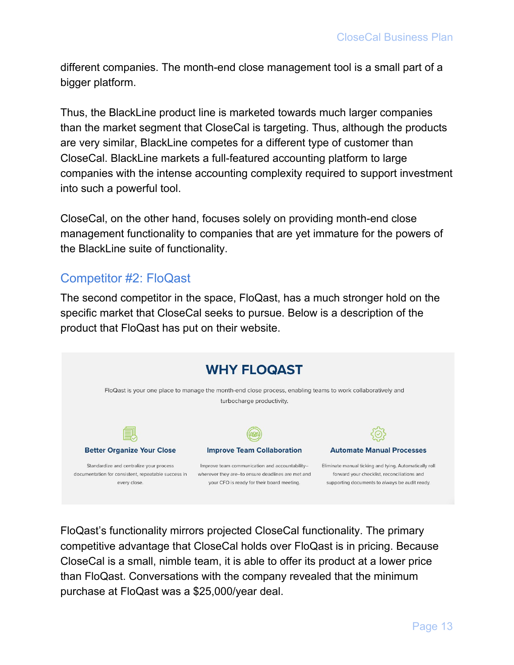different companies. The month-end close management tool is a small part of a bigger platform.

Thus, the BlackLine product line is marketed towards much larger companies than the market segment that CloseCal is targeting. Thus, although the products are very similar, BlackLine competes for a different type of customer than CloseCal. BlackLine markets a full-featured accounting platform to large companies with the intense accounting complexity required to support investment into such a powerful tool.

CloseCal, on the other hand, focuses solely on providing month-end close management functionality to companies that are yet immature for the powers of the BlackLine suite of functionality.

#### <span id="page-13-0"></span>Competitor #2: FloQast

The second competitor in the space, FloQast, has a much stronger hold on the specific market that CloseCal seeks to pursue. Below is a description of the product that FloQast has put on their website.



FloQast's functionality mirrors projected CloseCal functionality. The primary competitive advantage that CloseCal holds over FloQast is in pricing. Because CloseCal is a small, nimble team, it is able to offer its product at a lower price than FloQast. Conversations with the company revealed that the minimum purchase at FloQast was a \$25,000/year deal.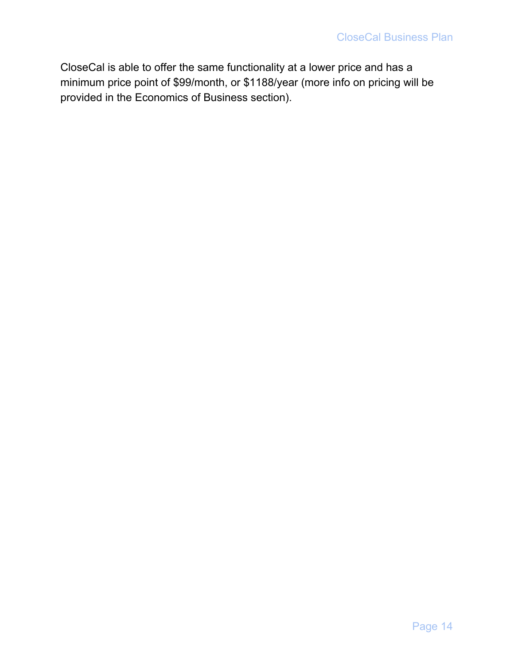CloseCal is able to offer the same functionality at a lower price and has a minimum price point of \$99/month, or \$1188/year (more info on pricing will be provided in the Economics of Business section).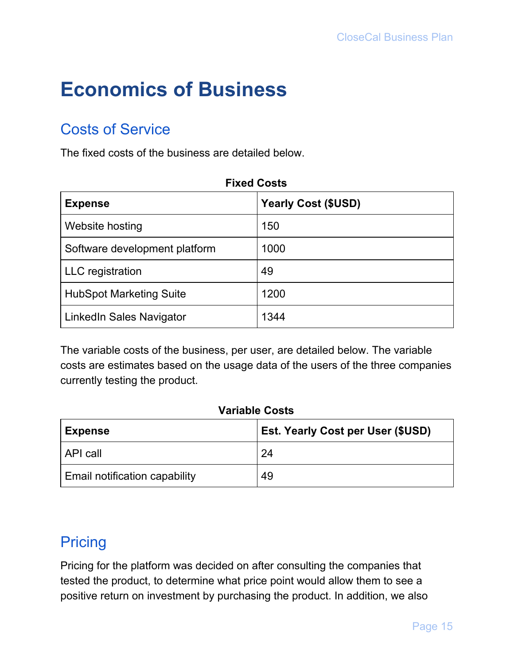# <span id="page-15-0"></span>**Economics of Business**

## <span id="page-15-1"></span>Costs of Service

The fixed costs of the business are detailed below.

| <b>Fixed Costs</b>             |                            |  |
|--------------------------------|----------------------------|--|
| <b>Expense</b>                 | <b>Yearly Cost (\$USD)</b> |  |
| Website hosting                | 150                        |  |
| Software development platform  | 1000                       |  |
| <b>LLC</b> registration        | 49                         |  |
| <b>HubSpot Marketing Suite</b> | 1200                       |  |
| LinkedIn Sales Navigator       | 1344                       |  |

The variable costs of the business, per user, are detailed below. The variable costs are estimates based on the usage data of the users of the three companies currently testing the product.

#### **Variable Costs**

| <b>Expense</b>                | <b>Est. Yearly Cost per User (\$USD)</b> |  |
|-------------------------------|------------------------------------------|--|
| <b>API call</b>               | 24                                       |  |
| Email notification capability | 49                                       |  |

## <span id="page-15-2"></span>**Pricing**

Pricing for the platform was decided on after consulting the companies that tested the product, to determine what price point would allow them to see a positive return on investment by purchasing the product. In addition, we also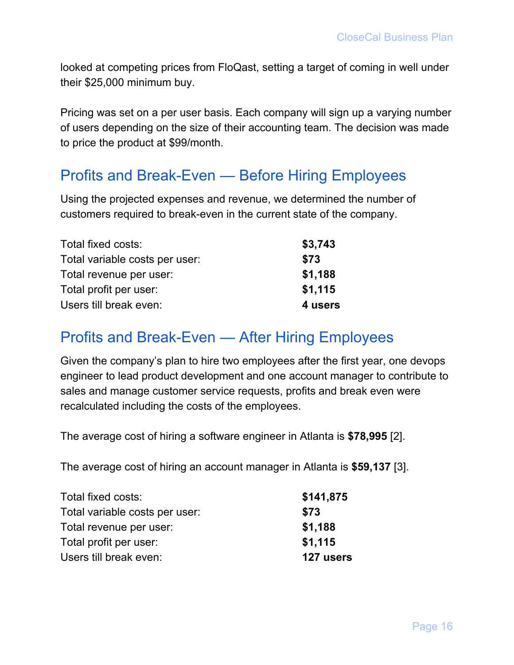looked at competing prices from FloQast, setting a target of coming in well under their \$25,000 minimum buy.

Pricing was set on a per user basis. Each company will sign up a varying number of users depending on the size of their accounting team. The decision was made to price the product at \$99/month.

### <span id="page-16-0"></span>Profits and Break-Even — Before Hiring Employees

Using the projected expenses and revenue, we determined the number of customers required to break-even in the current state of the company.

| Total fixed costs:             | \$3,743 |
|--------------------------------|---------|
| Total variable costs per user: | \$73    |
| Total revenue per user:        | \$1,188 |
| Total profit per user:         | \$1,115 |
| Users till break even:         | 4 users |

### <span id="page-16-1"></span>Profits and Break-Even — After Hiring Employees

Given the company's plan to hire two employees after the first year, one devops engineer to lead product development and one account manager to contribute to sales and manage customer service requests, profits and break even were recalculated including the costs of the employees.

The average cost of hiring a software engineer in Atlanta is **\$78,995** [2].

The average cost of hiring an account manager in Atlanta is **\$59,137** [3].

| Total fixed costs:             | \$141,875 |
|--------------------------------|-----------|
| Total variable costs per user: | \$73      |
| Total revenue per user:        | \$1,188   |
| Total profit per user:         | \$1,115   |
| Users till break even:         | 127 users |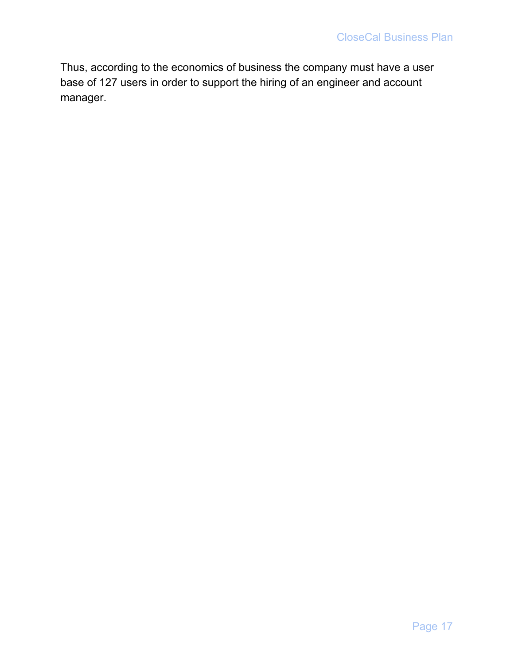Thus, according to the economics of business the company must have a user base of 127 users in order to support the hiring of an engineer and account manager.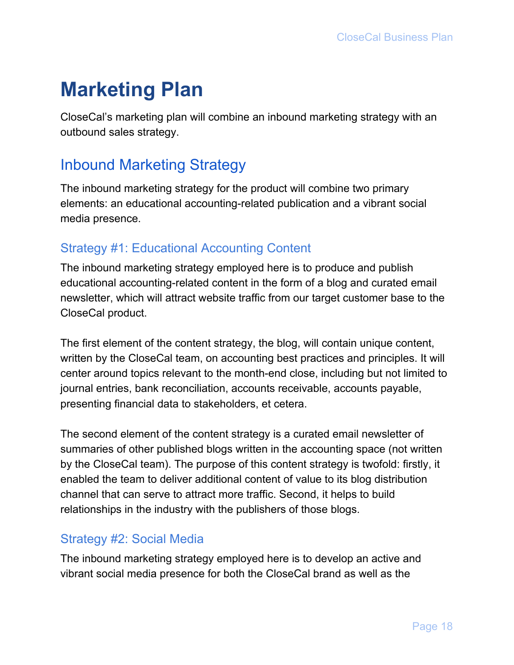# <span id="page-18-0"></span>**Marketing Plan**

CloseCal's marketing plan will combine an inbound marketing strategy with an outbound sales strategy.

## <span id="page-18-1"></span>Inbound Marketing Strategy

The inbound marketing strategy for the product will combine two primary elements: an educational accounting-related publication and a vibrant social media presence.

### <span id="page-18-2"></span>Strategy #1: Educational Accounting Content

The inbound marketing strategy employed here is to produce and publish educational accounting-related content in the form of a blog and curated email newsletter, which will attract website traffic from our target customer base to the CloseCal product.

The first element of the content strategy, the blog, will contain unique content, written by the CloseCal team, on accounting best practices and principles. It will center around topics relevant to the month-end close, including but not limited to journal entries, bank reconciliation, accounts receivable, accounts payable, presenting financial data to stakeholders, et cetera.

The second element of the content strategy is a curated email newsletter of summaries of other published blogs written in the accounting space (not written by the CloseCal team). The purpose of this content strategy is twofold: firstly, it enabled the team to deliver additional content of value to its blog distribution channel that can serve to attract more traffic. Second, it helps to build relationships in the industry with the publishers of those blogs.

#### <span id="page-18-3"></span>Strategy #2: Social Media

The inbound marketing strategy employed here is to develop an active and vibrant social media presence for both the CloseCal brand as well as the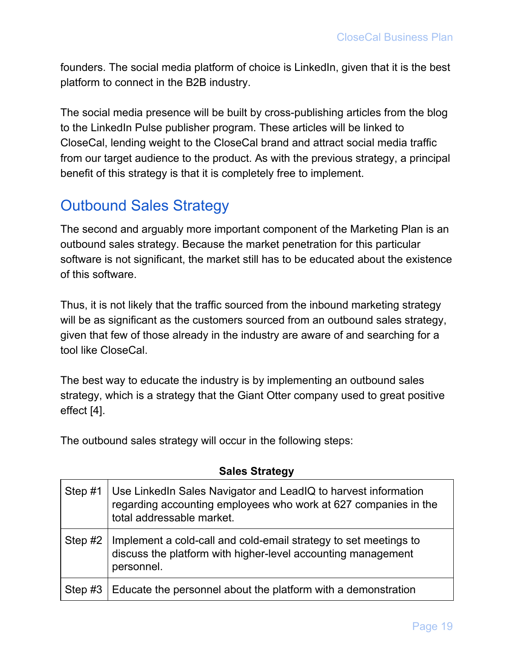founders. The social media platform of choice is LinkedIn, given that it is the best platform to connect in the B2B industry.

The social media presence will be built by cross-publishing articles from the blog to the LinkedIn Pulse publisher program. These articles will be linked to CloseCal, lending weight to the CloseCal brand and attract social media traffic from our target audience to the product. As with the previous strategy, a principal benefit of this strategy is that it is completely free to implement.

## <span id="page-19-0"></span>Outbound Sales Strategy

The second and arguably more important component of the Marketing Plan is an outbound sales strategy. Because the market penetration for this particular software is not significant, the market still has to be educated about the existence of this software.

Thus, it is not likely that the traffic sourced from the inbound marketing strategy will be as significant as the customers sourced from an outbound sales strategy, given that few of those already in the industry are aware of and searching for a tool like CloseCal.

The best way to educate the industry is by implementing an outbound sales strategy, which is a strategy that the Giant Otter company used to great positive effect [4].

The outbound sales strategy will occur in the following steps:

| Step #1   | Use LinkedIn Sales Navigator and LeadIQ to harvest information<br>regarding accounting employees who work at 627 companies in the<br>total addressable market. |
|-----------|----------------------------------------------------------------------------------------------------------------------------------------------------------------|
| Step $#2$ | Implement a cold-call and cold-email strategy to set meetings to<br>discuss the platform with higher-level accounting management<br>personnel.                 |
| Step #3   | Educate the personnel about the platform with a demonstration                                                                                                  |

#### **Sales Strategy**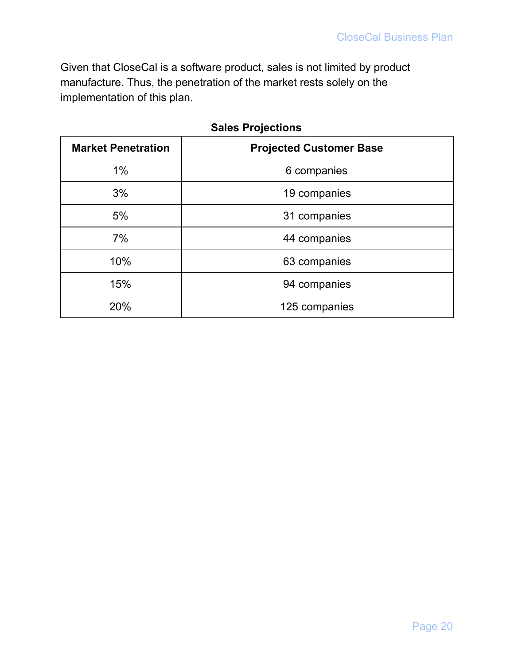Given that CloseCal is a software product, sales is not limited by product manufacture. Thus, the penetration of the market rests solely on the implementation of this plan.

| <b>Market Penetration</b> | <b>Projected Customer Base</b> |
|---------------------------|--------------------------------|
| $1\%$                     | 6 companies                    |
| 3%                        | 19 companies                   |
| 5%                        | 31 companies                   |
| 7%                        | 44 companies                   |
| 10%                       | 63 companies                   |
| 15%                       | 94 companies                   |
| 20%                       | 125 companies                  |

| <b>Sales Projections</b> |
|--------------------------|
|--------------------------|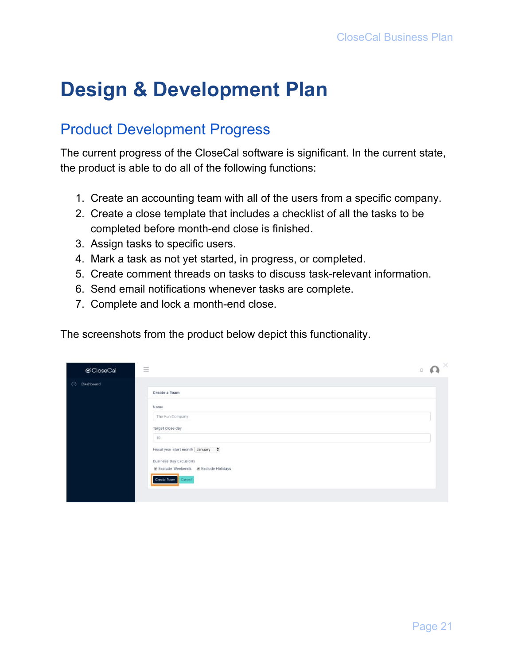# <span id="page-21-0"></span>**Design & Development Plan**

## <span id="page-21-1"></span>Product Development Progress

The current progress of the CloseCal software is significant. In the current state, the product is able to do all of the following functions:

- 1. Create an accounting team with all of the users from a specific company.
- 2. Create a close template that includes a checklist of all the tasks to be completed before month-end close is finished.
- 3. Assign tasks to specific users.
- 4. Mark a task as not yet started, in progress, or completed.
- 5. Create comment threads on tasks to discuss task-relevant information.
- 6. Send email notifications whenever tasks are complete.
- 7. Complete and lock a month-end close.

The screenshots from the product below depict this functionality.

| <b>⊘</b> CloseCal | $\equiv$                                                                                                                                                                                                               | $\times$<br>Ω |
|-------------------|------------------------------------------------------------------------------------------------------------------------------------------------------------------------------------------------------------------------|---------------|
| Dashboard<br>⊙    | Create a Team<br>Name<br>The Fun Company<br>Target close day<br>10<br>Fiscal year start month January $\div$<br><b>Business Day Excusions</b><br><b>Ø Exclude Weekends Ø Exclude Holidays</b><br>Create Team<br>Cancel |               |
|                   |                                                                                                                                                                                                                        |               |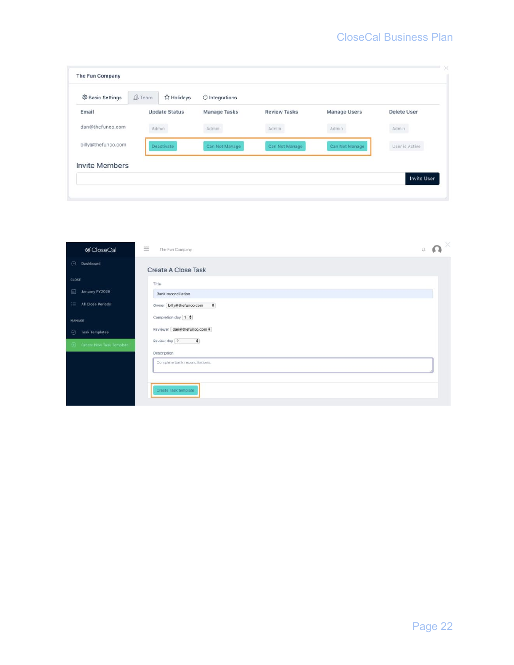| <b>@ Basic Settings</b> | <b><i>A</i></b> Team | ☆ Holidays           | $\circlearrowright$ Integrations |                     |                     |                    |
|-------------------------|----------------------|----------------------|----------------------------------|---------------------|---------------------|--------------------|
| Email                   |                      | <b>Update Status</b> | Manage Tasks                     | <b>Review Tasks</b> | <b>Manage Users</b> | <b>Delete User</b> |
| dan@thefunco.com        |                      | Admin                | Admin                            | Admin               | Admin               | Admin              |
| billy@thefunco.com      |                      | Deactivate           | Can Not Manage                   | Can Not Manage      | Can Not Manage      | User is Active     |
| <b>Invite Members</b>   |                      |                      |                                  |                     |                     |                    |

| <b></b> ⊗CloseCal                | $\equiv$<br>The Fun Company                      | $\Omega$<br>$\Box$ |
|----------------------------------|--------------------------------------------------|--------------------|
| $\odot$<br>Dashboard             | <b>Create A Close Task</b>                       |                    |
| CLOSE                            | Title                                            |                    |
| 曲<br>January FY2020              | Bank reconciliation                              |                    |
| <b>IE All Close Periods</b>      | $\ddot{\phantom{1}}$<br>Owner billy@thefunco.com |                    |
| MANAGE                           | Completion day [1 $\frac{1}{2}$ ]                |                    |
| <b>Task Templates</b><br>$\odot$ | Reviewer dan@thefunco.com \$                     |                    |
| (+) Create New Task Template     | Review day 2<br>$\div$                           |                    |
|                                  | Description                                      |                    |
|                                  | Complete bank reconciliations.                   |                    |
|                                  | Create Task template                             |                    |
|                                  |                                                  |                    |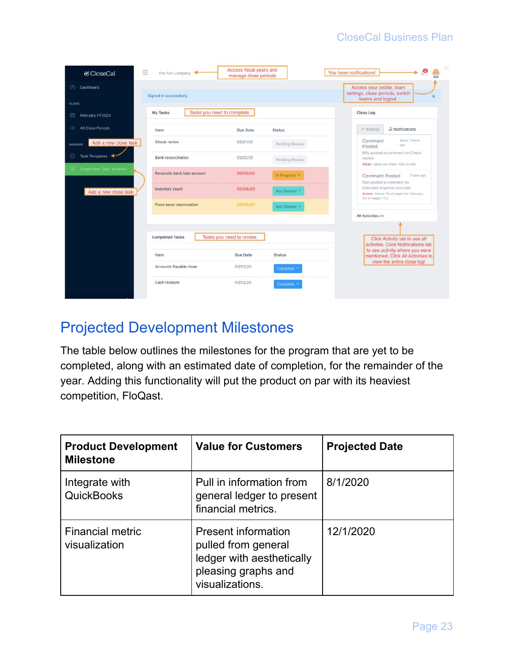| $\equiv$<br>CloseCal                  | The Fun Company                         | Access fiscal years and<br>manage close periods |                | $\bullet$ $\bullet$<br>You have notifications!                                                  |
|---------------------------------------|-----------------------------------------|-------------------------------------------------|----------------|-------------------------------------------------------------------------------------------------|
| Dashboard<br>⊙                        | Signed in successfully.                 |                                                 |                | Access your profile, team<br>settings, close periods, switch<br>$\mathbf x$                     |
| CLOSE                                 |                                         |                                                 |                | teams and logout.                                                                               |
| February FY2020<br>圓                  | Tasks you need to complete.<br>My Tasks |                                                 |                | <b>Close Log</b>                                                                                |
| All Close Periods<br>這                | Item                                    | Due Date                                        | <b>Status</b>  | Q Notifications<br><b>Activity</b>                                                              |
| Add a new close task<br><b>MANAGE</b> | Check review                            | 03/01/20                                        | Pending Review | about 2 hours<br>Comment<br>ago-<br>Posted                                                      |
| Task Templates<br>$\odot$             | Bank reconciliation                     | 03/02/20                                        | Pending Review | Billy posted a comment on Check<br>review<br>@Dan I gave you check 1155 as well.                |
| Create New Task Template              | Reconcile bank loan account             | 03/03/20                                        | In Progress *  | 3 days ago<br><b>Comment Posted</b>                                                             |
| Add a new close task                  | Inventory count                         | 03/04/20                                        | Not Started *  | Dan posted a comment on<br>Calculate expense accruals<br>@Jane Accrue 1% of wages for February, |
|                                       | Fixed asset depreciation                | 03/05/20                                        | Not Started    | 2% of wages YTD.                                                                                |
|                                       |                                         |                                                 |                | All Activities >>                                                                               |
|                                       |                                         |                                                 |                |                                                                                                 |
|                                       | <b>Completed Tasks</b>                  | Tasks you need to review.                       |                | Click Activity tab to see all<br>activites. Click Notifications tab                             |
|                                       | Item                                    | Due Date                                        | <b>Status</b>  | to see activity where you were<br>mentioned. Click All Activities to                            |
|                                       | Accounts Payable close                  | 03/02/20                                        | Complete *     | view the entire close log!                                                                      |
|                                       | Cash receipts                           | 03/02/20                                        | Complete *     |                                                                                                 |

## <span id="page-23-0"></span>Projected Development Milestones

The table below outlines the milestones for the program that are yet to be completed, along with an estimated date of completion, for the remainder of the year. Adding this functionality will put the product on par with its heaviest competition, FloQast.

| <b>Product Development</b><br><b>Milestone</b> | <b>Value for Customers</b>                                                                                               | <b>Projected Date</b> |
|------------------------------------------------|--------------------------------------------------------------------------------------------------------------------------|-----------------------|
| Integrate with<br><b>QuickBooks</b>            | Pull in information from<br>general ledger to present<br>financial metrics.                                              | 8/1/2020              |
| <b>Financial metric</b><br>visualization       | <b>Present information</b><br>pulled from general<br>ledger with aesthetically<br>pleasing graphs and<br>visualizations. | 12/1/2020             |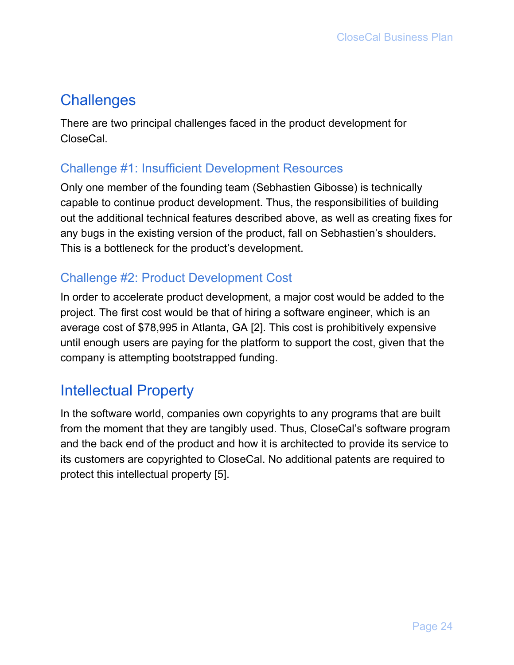## <span id="page-24-0"></span>**Challenges**

There are two principal challenges faced in the product development for CloseCal.

#### <span id="page-24-1"></span>Challenge #1: Insufficient Development Resources

Only one member of the founding team (Sebhastien Gibosse) is technically capable to continue product development. Thus, the responsibilities of building out the additional technical features described above, as well as creating fixes for any bugs in the existing version of the product, fall on Sebhastien's shoulders. This is a bottleneck for the product's development.

#### <span id="page-24-2"></span>Challenge #2: Product Development Cost

In order to accelerate product development, a major cost would be added to the project. The first cost would be that of hiring a software engineer, which is an average cost of \$78,995 in Atlanta, GA [2]. This cost is prohibitively expensive until enough users are paying for the platform to support the cost, given that the company is attempting bootstrapped funding.

### <span id="page-24-3"></span>Intellectual Property

In the software world, companies own copyrights to any programs that are built from the moment that they are tangibly used. Thus, CloseCal's software program and the back end of the product and how it is architected to provide its service to its customers are copyrighted to CloseCal. No additional patents are required to protect this intellectual property [5].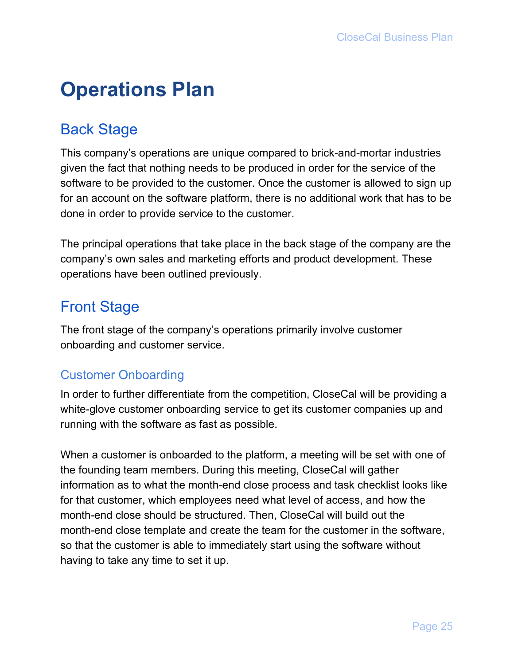# <span id="page-25-0"></span>**Operations Plan**

# <span id="page-25-1"></span>Back Stage

This company's operations are unique compared to brick-and-mortar industries given the fact that nothing needs to be produced in order for the service of the software to be provided to the customer. Once the customer is allowed to sign up for an account on the software platform, there is no additional work that has to be done in order to provide service to the customer.

The principal operations that take place in the back stage of the company are the company's own sales and marketing efforts and product development. These operations have been outlined previously.

# <span id="page-25-2"></span>Front Stage

The front stage of the company's operations primarily involve customer onboarding and customer service.

### <span id="page-25-3"></span>Customer Onboarding

In order to further differentiate from the competition, CloseCal will be providing a white-glove customer onboarding service to get its customer companies up and running with the software as fast as possible.

When a customer is onboarded to the platform, a meeting will be set with one of the founding team members. During this meeting, CloseCal will gather information as to what the month-end close process and task checklist looks like for that customer, which employees need what level of access, and how the month-end close should be structured. Then, CloseCal will build out the month-end close template and create the team for the customer in the software, so that the customer is able to immediately start using the software without having to take any time to set it up.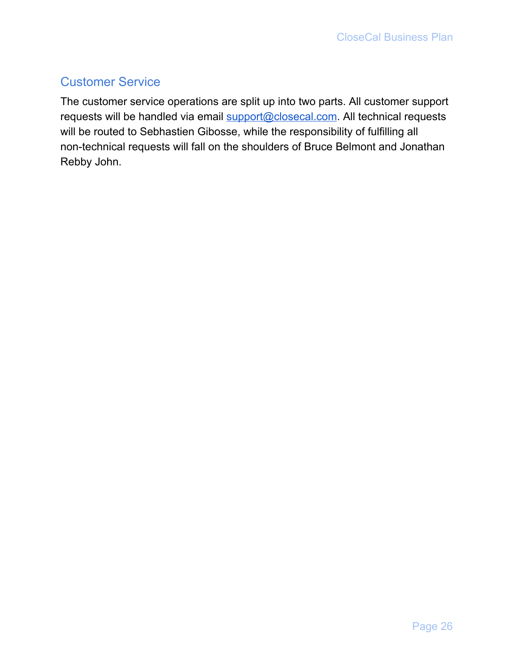### <span id="page-26-0"></span>Customer Service

The customer service operations are split up into two parts. All customer support requests will be handled via email [support@closecal.com](mailto:support@closecal.com). All technical requests will be routed to Sebhastien Gibosse, while the responsibility of fulfilling all non-technical requests will fall on the shoulders of Bruce Belmont and Jonathan Rebby John.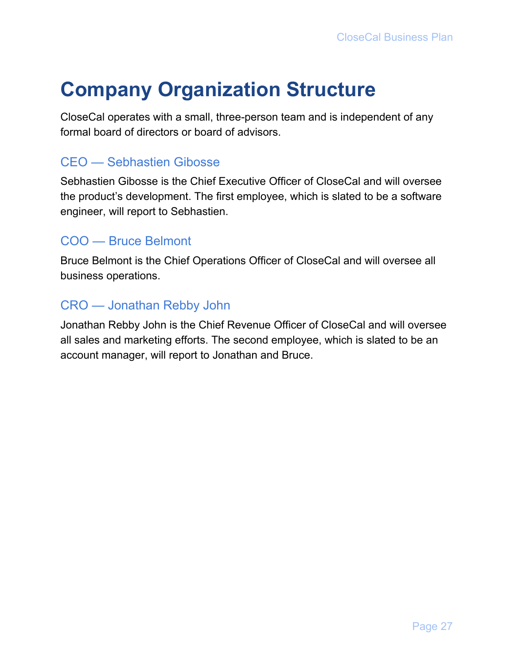# <span id="page-27-0"></span>**Company Organization Structure**

CloseCal operates with a small, three-person team and is independent of any formal board of directors or board of advisors.

#### <span id="page-27-1"></span>CEO — Sebhastien Gibosse

Sebhastien Gibosse is the Chief Executive Officer of CloseCal and will oversee the product's development. The first employee, which is slated to be a software engineer, will report to Sebhastien.

#### <span id="page-27-2"></span>COO — Bruce Belmont

Bruce Belmont is the Chief Operations Officer of CloseCal and will oversee all business operations.

#### <span id="page-27-3"></span>CRO — Jonathan Rebby John

Jonathan Rebby John is the Chief Revenue Officer of CloseCal and will oversee all sales and marketing efforts. The second employee, which is slated to be an account manager, will report to Jonathan and Bruce.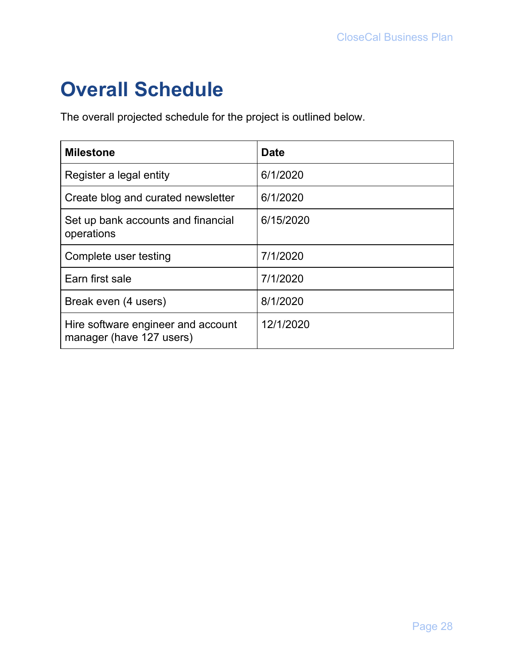# <span id="page-28-0"></span>**Overall Schedule**

The overall projected schedule for the project is outlined below.

| <b>Milestone</b>                                               | <b>Date</b> |
|----------------------------------------------------------------|-------------|
| Register a legal entity                                        | 6/1/2020    |
| Create blog and curated newsletter                             | 6/1/2020    |
| Set up bank accounts and financial<br>operations               | 6/15/2020   |
| Complete user testing                                          | 7/1/2020    |
| Earn first sale                                                | 7/1/2020    |
| Break even (4 users)                                           | 8/1/2020    |
| Hire software engineer and account<br>manager (have 127 users) | 12/1/2020   |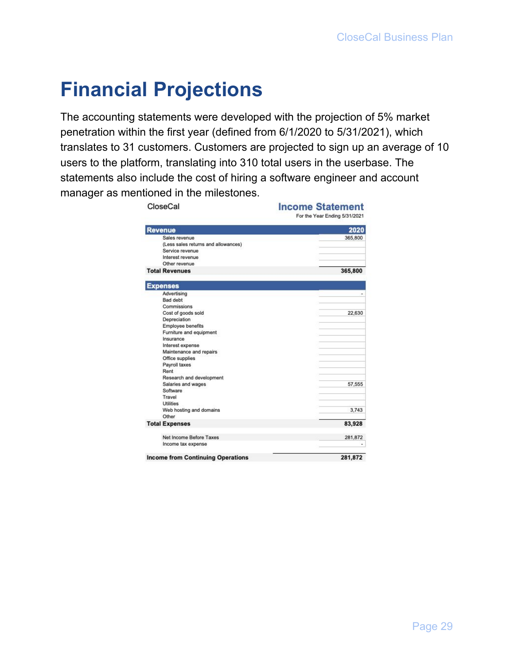# <span id="page-29-0"></span>**Financial Projections**

The accounting statements were developed with the projection of 5% market penetration within the first year (defined from 6/1/2020 to 5/31/2021), which translates to 31 customers. Customers are projected to sign up an average of 10 users to the platform, translating into 310 total users in the userbase. The statements also include the cost of hiring a software engineer and account manager as mentioned in the milestones.

| CloseCal                                 | <b>Income Statement</b><br>For the Year Ending 5/31/2021 |
|------------------------------------------|----------------------------------------------------------|
| <b>Revenue</b>                           | 2020                                                     |
| Sales revenue                            | 365,800                                                  |
| (Less sales returns and allowances)      |                                                          |
| Service revenue                          |                                                          |
| Interest revenue                         |                                                          |
| Other revenue                            |                                                          |
| <b>Total Revenues</b>                    | 365,800                                                  |
| <b>Expenses</b>                          |                                                          |
| Advertising                              |                                                          |
| Bad debt                                 |                                                          |
| Commissions                              |                                                          |
| Cost of goods sold                       | 22,630                                                   |
| Depreciation                             |                                                          |
| Employee benefits                        |                                                          |
| Furniture and equipment                  |                                                          |
| Insurance                                |                                                          |
| Interest expense                         |                                                          |
| Maintenance and repairs                  |                                                          |
| Office supplies                          |                                                          |
| Payroll taxes                            |                                                          |
| Rent                                     |                                                          |
| Research and development                 |                                                          |
| Salaries and wages                       | 57,555                                                   |
| Software                                 |                                                          |
| Travel                                   |                                                          |
| <b>Utilities</b>                         |                                                          |
| Web hosting and domains                  | 3,743                                                    |
| Other                                    |                                                          |
| <b>Total Expenses</b>                    | 83,928                                                   |
| Net Income Before Taxes                  | 281,872                                                  |
| Income tax expense                       |                                                          |
| <b>Income from Continuing Operations</b> | 281,872                                                  |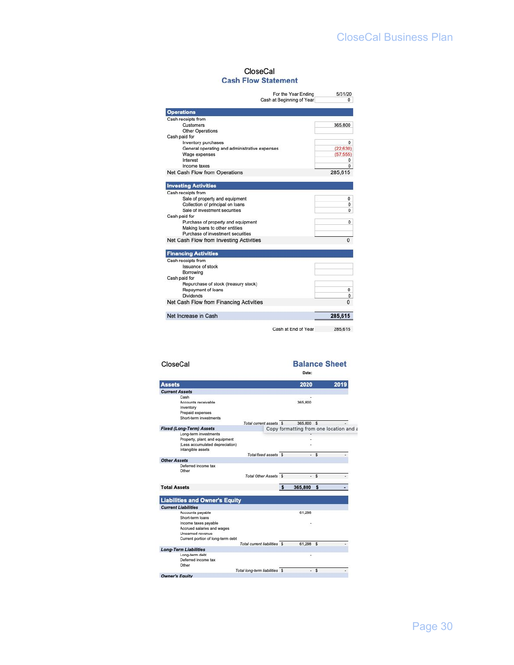#### CloseCal **Cash Flow Statement**

| For the Year Ending                           | 5/31/20    |
|-----------------------------------------------|------------|
| Cash at Beginning of Year                     | $^{\circ}$ |
| <b>Operations</b>                             |            |
| Cash receipts from                            |            |
| Customers                                     | 365,800    |
| <b>Other Operations</b>                       |            |
| Cash paid for                                 |            |
| Inventory purchases                           | 0          |
| General operating and administrative expenses | (22, 630)  |
| Wage expenses                                 | (57, 555)  |
| Interest                                      | 0          |
| Income taxes                                  | $\Omega$   |
| Net Cash Flow from Operations                 | 285,615    |
| <b>Investing Activities</b>                   |            |
| Cash receipts from                            |            |
| Sale of property and equipment                | 0          |
| Collection of principal on loans              | 0          |
| Sale of investment securities                 | 0          |
| Cash paid for                                 |            |
| Purchase of property and equipment            | 0          |
| Making loans to other entities                |            |
| Purchase of investment securities             |            |
| Net Cash Flow from Investing Activities       | $\Omega$   |
|                                               |            |
| <b>Financing Activities</b>                   |            |
| Cash receipts from                            |            |
| <b>Issuance of stock</b>                      |            |
| Borrowing                                     |            |
| Cash paid for                                 |            |
| Repurchase of stock (treasury stock)          |            |
| Repayment of loans                            | 0          |
| <b>Dividends</b>                              | 0          |
| Net Cash Flow from Financing Activities       | $\Omega$   |
| Net Increase in Cash                          | 285,615    |

Cash at End of Year 285,615

| CloseCal                                                                                                        |                                |   | Date:                    |      | <b>Balance Sheet</b>                    |
|-----------------------------------------------------------------------------------------------------------------|--------------------------------|---|--------------------------|------|-----------------------------------------|
| <b>Assets</b>                                                                                                   |                                |   | 2020                     |      | 2019                                    |
| <b>Current Assets</b>                                                                                           |                                |   |                          |      |                                         |
| Cash<br>Accounts receivable<br>Inventory<br>Prepaid expenses<br>Short-term investments                          |                                |   | 365,800                  |      |                                         |
|                                                                                                                 | Total current assets \$        |   | 365,800 \$               |      |                                         |
| <b>Fixed (Long-Term) Assets</b>                                                                                 |                                |   |                          |      | Copy formatting from one location and a |
| Long-term investments<br>Property, plant, and equipment<br>(Less accumulated depreciation)<br>Intangible assets |                                |   |                          |      |                                         |
|                                                                                                                 | Total fixed assets \$          |   |                          | $-5$ |                                         |
| <b>Other Assets</b>                                                                                             |                                |   |                          |      |                                         |
| Deferred income tax<br>Other                                                                                    |                                |   |                          |      |                                         |
|                                                                                                                 | Total Other Assets \$          |   | $\overline{\phantom{a}}$ | \$   |                                         |
| <b>Total Assets</b>                                                                                             |                                | s | 365,800                  | s    |                                         |
| <b>Liabilities and Owner's Equity</b>                                                                           |                                |   |                          |      |                                         |
| <b>Current Liabilities</b>                                                                                      |                                |   |                          |      |                                         |
| Accounts payable<br>Short-term loans                                                                            |                                |   | 61.298                   |      |                                         |
| Income taxes payable<br>Accrued salaries and wages<br>Uneamed revenue<br>Current portion of long-term debt      |                                |   |                          |      |                                         |
|                                                                                                                 | Total current liabilities \$   |   | 61,298 \$                |      |                                         |
| <b>Long-Term Liabilities</b>                                                                                    |                                |   |                          |      |                                         |
| Long-term debt<br>Deferred income tax<br>Other                                                                  |                                |   |                          |      |                                         |
|                                                                                                                 | Total long-term liabilities \$ |   | ÷.                       | \$   |                                         |
| <b>Owner's Equity</b>                                                                                           |                                |   |                          |      |                                         |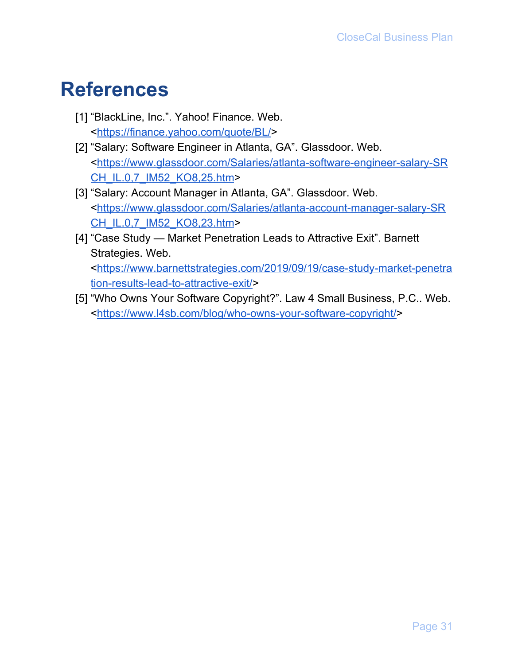# <span id="page-31-0"></span>**References**

- [1] "BlackLine, Inc.". Yahoo! Finance. Web. <[https://finance.yahoo.com/quote/BL/>](https://finance.yahoo.com/quote/BL/)
- [2] "Salary: Software Engineer in Atlanta, GA". Glassdoor. Web. <[https://www.glassdoor.com/Salaries/atlanta-software-engineer-salary-SR](https://www.glassdoor.com/Salaries/atlanta-software-engineer-salary-SRCH_IL.0,7_IM52_KO8,25.htm) [CH\\_IL.0,7\\_IM52\\_KO8,25.htm](https://www.glassdoor.com/Salaries/atlanta-software-engineer-salary-SRCH_IL.0,7_IM52_KO8,25.htm)>
- [3] "Salary: Account Manager in Atlanta, GA". Glassdoor. Web. <[https://www.glassdoor.com/Salaries/atlanta-account-manager-salary-SR](https://www.glassdoor.com/Salaries/atlanta-account-manager-salary-SRCH_IL.0,7_IM52_KO8,23.htm) [CH\\_IL.0,7\\_IM52\\_KO8,23.htm](https://www.glassdoor.com/Salaries/atlanta-account-manager-salary-SRCH_IL.0,7_IM52_KO8,23.htm)>
- [4] "Case Study Market Penetration Leads to Attractive Exit". Barnett Strategies. Web. <[https://www.barnettstrategies.com/2019/09/19/case-study-market-penetra](https://www.barnettstrategies.com/2019/09/19/case-study-market-penetration-results-lead-to-attractive-exit/) [tion-results-lead-to-attractive-exit/>](https://www.barnettstrategies.com/2019/09/19/case-study-market-penetration-results-lead-to-attractive-exit/)
- [5] "Who Owns Your Software Copyright?". Law 4 Small Business, P.C.. Web. <<https://www.l4sb.com/blog/who-owns-your-software-copyright/>>